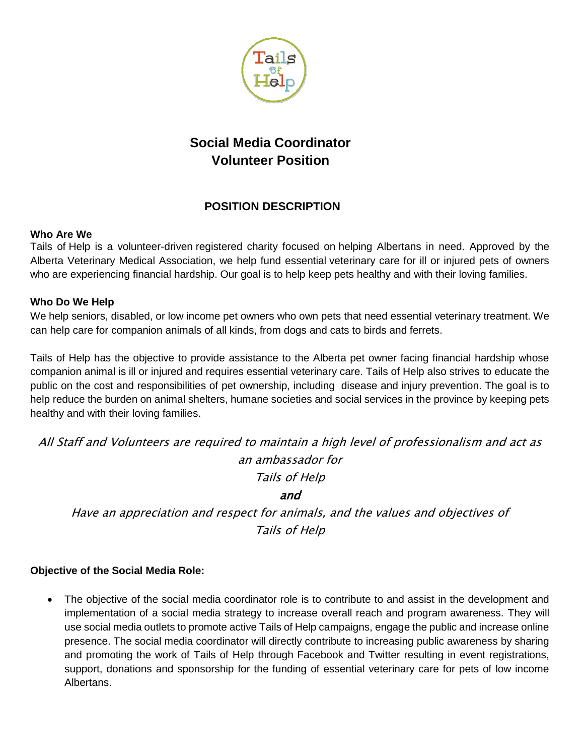

# **Social Media Coordinator Volunteer Position**

# **POSITION DESCRIPTION**

#### **Who Are We**

Tails of Help is a volunteer-driven registered charity focused on helping Albertans in need. Approved by the Alberta Veterinary Medical Association, we help fund essential veterinary care for ill or injured pets of owners who are experiencing financial hardship. Our goal is to help keep pets healthy and with their loving families.

## **Who Do We Help**

We help seniors, disabled, or low income pet owners who own pets that need essential veterinary treatment. We can help care for companion animals of all kinds, from dogs and cats to birds and ferrets.

Tails of Help has the objective to provide assistance to the Alberta pet owner facing financial hardship whose companion animal is ill or injured and requires essential veterinary care. Tails of Help also strives to educate the public on the cost and responsibilities of pet ownership, including disease and injury prevention. The goal is to help reduce the burden on animal shelters, humane societies and social services in the province by keeping pets healthy and with their loving families.

All Staff and Volunteers are required to maintain a high level of professionalism and act as an ambassador for

Tails of Help

and

Have an appreciation and respect for animals, and the values and objectives of Tails of Help

## **Objective of the Social Media Role:**

 The objective of the social media coordinator role is to contribute to and assist in the development and implementation of a social media strategy to increase overall reach and program awareness. They will use social media outlets to promote active Tails of Help campaigns, engage the public and increase online presence. The social media coordinator will directly contribute to increasing public awareness by sharing and promoting the work of Tails of Help through Facebook and Twitter resulting in event registrations, support, donations and sponsorship for the funding of essential veterinary care for pets of low income Albertans.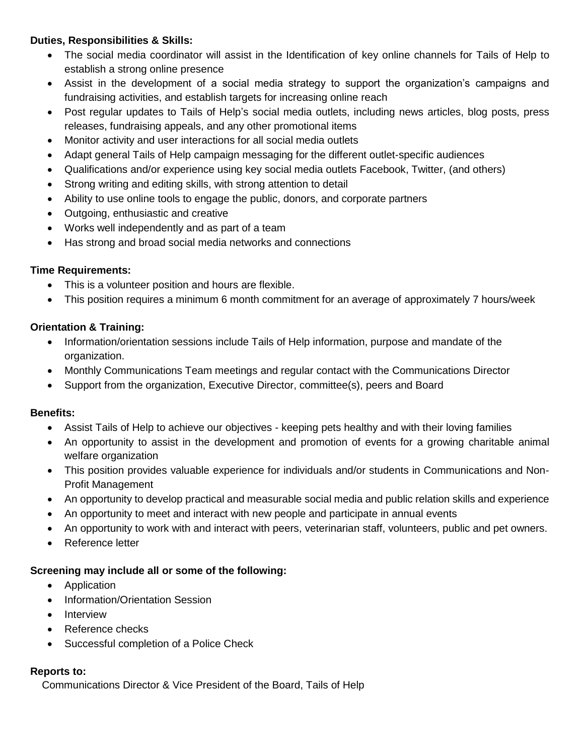#### **Duties, Responsibilities & Skills:**

- The social media coordinator will assist in the Identification of key online channels for Tails of Help to establish a strong online presence
- Assist in the development of a social media strategy to support the organization's campaigns and fundraising activities, and establish targets for increasing online reach
- Post regular updates to Tails of Help's social media outlets, including news articles, blog posts, press releases, fundraising appeals, and any other promotional items
- Monitor activity and user interactions for all social media outlets
- Adapt general Tails of Help campaign messaging for the different outlet-specific audiences
- Qualifications and/or experience using key social media outlets Facebook, Twitter, (and others)
- Strong writing and editing skills, with strong attention to detail
- Ability to use online tools to engage the public, donors, and corporate partners
- Outgoing, enthusiastic and creative
- Works well independently and as part of a team
- Has strong and broad social media networks and connections

#### **Time Requirements:**

- This is a volunteer position and hours are flexible.
- This position requires a minimum 6 month commitment for an average of approximately 7 hours/week

## **Orientation & Training:**

- Information/orientation sessions include Tails of Help information, purpose and mandate of the organization.
- Monthly Communications Team meetings and regular contact with the Communications Director
- Support from the organization, Executive Director, committee(s), peers and Board

#### **Benefits:**

- Assist Tails of Help to achieve our objectives keeping pets healthy and with their loving families
- An opportunity to assist in the development and promotion of events for a growing charitable animal welfare organization
- This position provides valuable experience for individuals and/or students in Communications and Non-Profit Management
- An opportunity to develop practical and measurable social media and public relation skills and experience
- An opportunity to meet and interact with new people and participate in annual events
- An opportunity to work with and interact with peers, veterinarian staff, volunteers, public and pet owners.
- Reference letter

#### **Screening may include all or some of the following:**

- Application
- Information/Orientation Session
- Interview
- Reference checks
- Successful completion of a Police Check

#### **Reports to:**

Communications Director & Vice President of the Board, Tails of Help